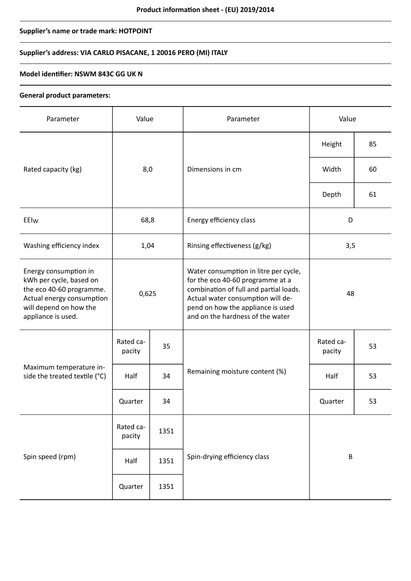# **Supplier's name or trade mark: HOTPOINT**

# **Supplier's address: VIA CARLO PISACANE, 1 20016 PERO (MI) ITALY**

### **Model identifier: NSWM 843C GG UK N**

### **General product parameters:**

| Parameter                                                                                                                                                 | Value               |      | Parameter                                                                                                                                                                                                                         | Value               |    |
|-----------------------------------------------------------------------------------------------------------------------------------------------------------|---------------------|------|-----------------------------------------------------------------------------------------------------------------------------------------------------------------------------------------------------------------------------------|---------------------|----|
|                                                                                                                                                           | 8,0                 |      | Dimensions in cm                                                                                                                                                                                                                  | Height              | 85 |
| Rated capacity (kg)                                                                                                                                       |                     |      |                                                                                                                                                                                                                                   | Width               | 60 |
|                                                                                                                                                           |                     |      |                                                                                                                                                                                                                                   | Depth               | 61 |
| EEIw                                                                                                                                                      | 68,8                |      | Energy efficiency class                                                                                                                                                                                                           | D                   |    |
| Washing efficiency index                                                                                                                                  | 1,04                |      | Rinsing effectiveness (g/kg)                                                                                                                                                                                                      | 3,5                 |    |
| Energy consumption in<br>kWh per cycle, based on<br>the eco 40-60 programme.<br>Actual energy consumption<br>will depend on how the<br>appliance is used. | 0,625               |      | Water consumption in litre per cycle,<br>for the eco 40-60 programme at a<br>combination of full and partial loads.<br>Actual water consumption will de-<br>pend on how the appliance is used<br>and on the hardness of the water | 48                  |    |
| Maximum temperature in-<br>side the treated textile (°C)                                                                                                  | Rated ca-<br>pacity | 35   | Remaining moisture content (%)                                                                                                                                                                                                    | Rated ca-<br>pacity | 53 |
|                                                                                                                                                           | Half                | 34   |                                                                                                                                                                                                                                   | Half                | 53 |
|                                                                                                                                                           | Quarter             | 34   |                                                                                                                                                                                                                                   | Quarter             | 53 |
| Spin speed (rpm)                                                                                                                                          | Rated ca-<br>pacity | 1351 |                                                                                                                                                                                                                                   | $\sf B$             |    |
|                                                                                                                                                           | Half                | 1351 | Spin-drying efficiency class                                                                                                                                                                                                      |                     |    |
|                                                                                                                                                           | Quarter             | 1351 |                                                                                                                                                                                                                                   |                     |    |